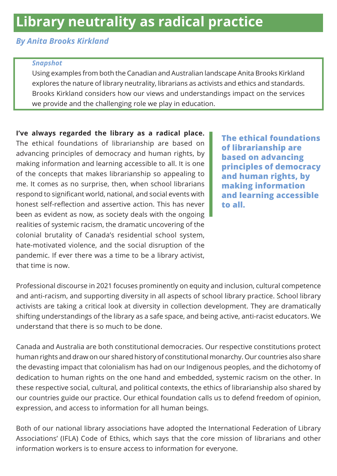# **Library neutrality as radical practice**

#### *By Anita Brooks Kirkland*

#### *Snapshot*

Using examples from both the Canadian and Australian landscape Anita Brooks Kirkland explores the nature of library neutrality, librarians as activists and ethics and standards. Brooks Kirkland considers how our views and understandings impact on the services we provide and the challenging role we play in education.

**I've always regarded the library as a radical place.** The ethical foundations of librarianship are based on advancing principles of democracy and human rights, by making information and learning accessible to all. It is one of the concepts that makes librarianship so appealing to me. It comes as no surprise, then, when school librarians respond to significant world, national, and social events with honest self-reflection and assertive action. This has never been as evident as now, as society deals with the ongoing realities of systemic racism, the dramatic uncovering of the colonial brutality of Canada's residential school system, hate-motivated violence, and the social disruption of the pandemic. If ever there was a time to be a library activist, that time is now.

**The ethical foundations of librarianship are based on advancing principles of democracy and human rights, by making information and learning accessible to all.**

Professional discourse in 2021 focuses prominently on equity and inclusion, cultural competence and anti-racism, and supporting diversity in all aspects of school library practice. School library activists are taking a critical look at diversity in collection development. They are dramatically shifting understandings of the library as a safe space, and being active, anti-racist educators. We understand that there is so much to be done.

Canada and Australia are both constitutional democracies. Our respective constitutions protect human rights and draw on our shared history of constitutional monarchy. Our countries also share the devasting impact that colonialism has had on our Indigenous peoples, and the dichotomy of dedication to human rights on the one hand and embedded, systemic racism on the other. In these respective social, cultural, and political contexts, the ethics of librarianship also shared by our countries guide our practice. Our ethical foundation calls us to defend freedom of opinion, expression, and access to information for all human beings.

Both of our national library associations have adopted the International Federation of Library Associations' (IFLA) Code of Ethics, which says that the core mission of librarians and other information workers is to ensure access to information for everyone.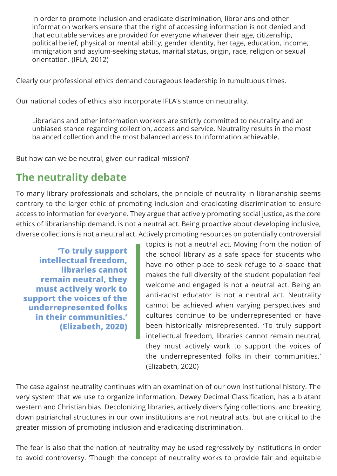In order to promote inclusion and eradicate discrimination, librarians and other information workers ensure that the right of accessing information is not denied and that equitable services are provided for everyone whatever their age, citizenship, political belief, physical or mental ability, gender identity, heritage, education, income, immigration and asylum-seeking status, marital status, origin, race, religion or sexual orientation. (IFLA, 2012)

Clearly our professional ethics demand courageous leadership in tumultuous times.

Our national codes of ethics also incorporate IFLA's stance on neutrality.

Librarians and other information workers are strictly committed to neutrality and an unbiased stance regarding collection, access and service. Neutrality results in the most balanced collection and the most balanced access to information achievable.

But how can we be neutral, given our radical mission?

### **The neutrality debate**

To many library professionals and scholars, the principle of neutrality in librarianship seems contrary to the larger ethic of promoting inclusion and eradicating discrimination to ensure access to information for everyone. They argue that actively promoting social justice, as the core ethics of librarianship demand, is not a neutral act. Being proactive about developing inclusive, diverse collections is not a neutral act. Actively promoting resources on potentially controversial

**'To truly support intellectual freedom, libraries cannot remain neutral, they must actively work to support the voices of the underrepresented folks in their communities.' (Elizabeth, 2020)**

topics is not a neutral act. Moving from the notion of the school library as a safe space for students who have no other place to seek refuge to a space that makes the full diversity of the student population feel welcome and engaged is not a neutral act. Being an anti-racist educator is not a neutral act. Neutrality cannot be achieved when varying perspectives and cultures continue to be underrepresented or have been historically misrepresented. 'To truly support intellectual freedom, libraries cannot remain neutral, they must actively work to support the voices of the underrepresented folks in their communities.' (Elizabeth, 2020)

The case against neutrality continues with an examination of our own institutional history. The very system that we use to organize information, Dewey Decimal Classification, has a blatant western and Christian bias. Decolonizing libraries, actively diversifying collections, and breaking down patriarchal structures in our own institutions are not neutral acts, but are critical to the greater mission of promoting inclusion and eradicating discrimination.

The fear is also that the notion of neutrality may be used regressively by institutions in order to avoid controversy. 'Though the concept of neutrality works to provide fair and equitable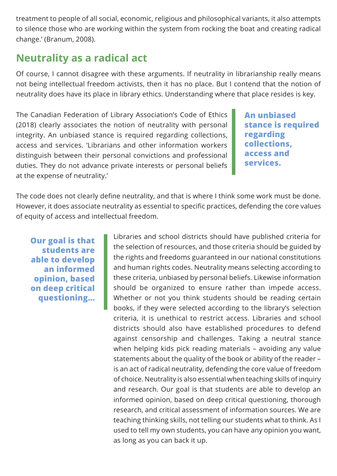treatment to people of all social, economic, religious and philosophical variants, it also attempts to silence those who are working within the system from rocking the boat and creating radical change.' (Branum, 2008).

### **Neutrality as a radical act**

Of course, I cannot disagree with these arguments. If neutrality in librarianship really means not being intellectual freedom activists, then it has no place. But I contend that the notion of neutrality does have its place in library ethics. Understanding where that place resides is key.

The Canadian Federation of Library Association's Code of Ethics (2018) clearly associates the notion of neutrality with personal integrity. An unbiased stance is required regarding collections, access and services. 'Librarians and other information workers distinguish between their personal convictions and professional duties. They do not advance private interests or personal beliefs at the expense of neutrality.'

**An unbiased stance is required regarding collections, access and services.**

The code does not clearly define neutrality, and that is where I think some work must be done. However, it does associate neutrality as essential to specific practices, defending the core values of equity of access and intellectual freedom.

**Our goal is that students are able to develop an informed opinion, based on deep critical questioning…**

Libraries and school districts should have published criteria for the selection of resources, and those criteria should be guided by the rights and freedoms guaranteed in our national constitutions and human rights codes. Neutrality means selecting according to these criteria, unbiased by personal beliefs. Likewise information should be organized to ensure rather than impede access. Whether or not you think students should be reading certain books, if they were selected according to the library's selection criteria, it is unethical to restrict access. Libraries and school districts should also have established procedures to defend against censorship and challenges. Taking a neutral stance when helping kids pick reading materials – avoiding any value statements about the quality of the book or ability of the reader – is an act of radical neutrality, defending the core value of freedom of choice. Neutrality is also essential when teaching skills of inquiry and research. Our goal is that students are able to develop an informed opinion, based on deep critical questioning, thorough research, and critical assessment of information sources. We are teaching thinking skills, not telling our students what to think. As I used to tell my own students, you can have any opinion you want, as long as you can back it up.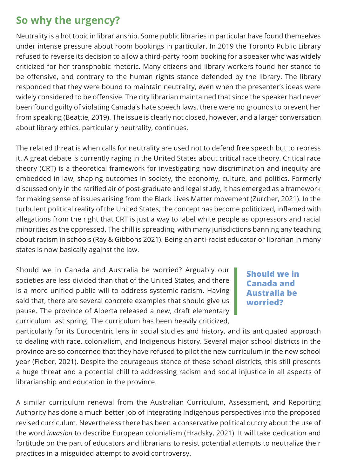## **So why the urgency?**

Neutrality is a hot topic in librarianship. Some public libraries in particular have found themselves under intense pressure about room bookings in particular. In 2019 the Toronto Public Library refused to reverse its decision to allow a third-party room booking for a speaker who was widely criticized for her transphobic rhetoric. Many citizens and library workers found her stance to be offensive, and contrary to the human rights stance defended by the library. The library responded that they were bound to maintain neutrality, even when the presenter's ideas were widely considered to be offensive. The city librarian maintained that since the speaker had never been found guilty of violating Canada's hate speech laws, there were no grounds to prevent her from speaking (Beattie, 2019). The issue is clearly not closed, however, and a larger conversation about library ethics, particularly neutrality, continues.

The related threat is when calls for neutrality are used not to defend free speech but to repress it. A great debate is currently raging in the United States about critical race theory. Critical race theory (CRT) is a theoretical framework for investigating how discrimination and inequity are embedded in law, shaping outcomes in society, the economy, culture, and politics. Formerly discussed only in the rarified air of post-graduate and legal study, it has emerged as a framework for making sense of issues arising from the Black Lives Matter movement (Zurcher, 2021). In the turbulent political reality of the United States, the concept has become politicized, inflamed with allegations from the right that CRT is just a way to label white people as oppressors and racial minorities as the oppressed. The chill is spreading, with many jurisdictions banning any teaching about racism in schools (Ray & Gibbons 2021). Being an anti-racist educator or librarian in many states is now basically against the law.

Should we in Canada and Australia be worried? Arguably our societies are less divided than that of the United States, and there is a more unified public will to address systemic racism. Having said that, there are several concrete examples that should give us pause. The province of Alberta released a new, draft elementary curriculum last spring. The curriculum has been heavily criticized,

### **Should we in Canada and Australia be worried?**

particularly for its Eurocentric lens in social studies and history, and its antiquated approach to dealing with race, colonialism, and Indigenous history. Several major school districts in the province are so concerned that they have refused to pilot the new curriculum in the new school year (Fieber, 2021). Despite the courageous stance of these school districts, this still presents a huge threat and a potential chill to addressing racism and social injustice in all aspects of librarianship and education in the province.

A similar curriculum renewal from the Australian Curriculum, Assessment, and Reporting Authority has done a much better job of integrating Indigenous perspectives into the proposed revised curriculum. Nevertheless there has been a conservative political outcry about the use of the word *invasion* to describe European colonialism (Hradsky, 2021). It will take dedication and fortitude on the part of educators and librarians to resist potential attempts to neutralize their practices in a misguided attempt to avoid controversy.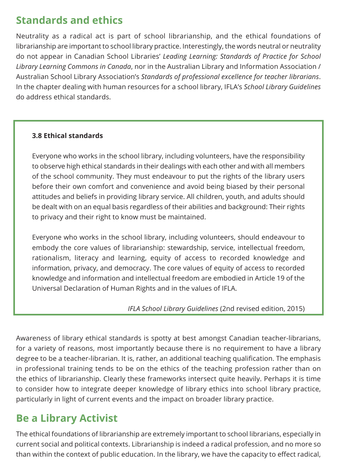## **Standards and ethics**

Neutrality as a radical act is part of school librarianship, and the ethical foundations of librarianship are important to school library practice. Interestingly, the words neutral or neutrality do not appear in Canadian School Libraries' *Leading Learning: Standards of Practice for School Library Learning Commons in Canada*, nor in the Australian Library and Information Association / Australian School Library Association's *Standards of professional excellence for teacher librarians*. In the chapter dealing with human resources for a school library, IFLA's *School Library Guidelines* do address ethical standards.

### **3.8 Ethical standards**

Everyone who works in the school library, including volunteers, have the responsibility to observe high ethical standards in their dealings with each other and with all members of the school community. They must endeavour to put the rights of the library users before their own comfort and convenience and avoid being biased by their personal attitudes and beliefs in providing library service. All children, youth, and adults should be dealt with on an equal basis regardless of their abilities and background: Their rights to privacy and their right to know must be maintained.

Everyone who works in the school library, including volunteers, should endeavour to embody the core values of librarianship: stewardship, service, intellectual freedom, rationalism, literacy and learning, equity of access to recorded knowledge and information, privacy, and democracy. The core values of equity of access to recorded knowledge and information and intellectual freedom are embodied in Article 19 of the Universal Declaration of Human Rights and in the values of IFLA.

#### *IFLA School Library Guidelines* (2nd revised edition, 2015)

Awareness of library ethical standards is spotty at best amongst Canadian teacher-librarians, for a variety of reasons, most importantly because there is no requirement to have a library degree to be a teacher-librarian. It is, rather, an additional teaching qualification. The emphasis in professional training tends to be on the ethics of the teaching profession rather than on the ethics of librarianship. Clearly these frameworks intersect quite heavily. Perhaps it is time to consider how to integrate deeper knowledge of library ethics into school library practice, particularly in light of current events and the impact on broader library practice.

### **Be a Library Activist**

The ethical foundations of librarianship are extremely important to school librarians, especially in current social and political contexts. Librarianship is indeed a radical profession, and no more so than within the context of public education. In the library, we have the capacity to effect radical,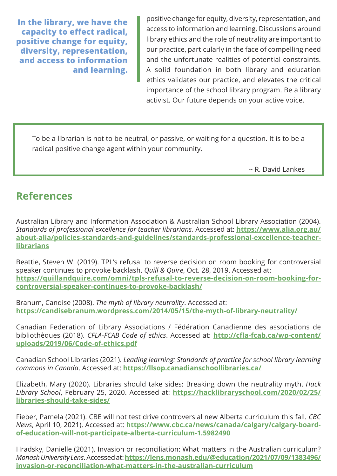**In the library, we have the capacity to effect radical, positive change for equity, diversity, representation, and access to information and learning.**

positive change for equity, diversity, representation, and access to information and learning. Discussions around library ethics and the role of neutrality are important to our practice, particularly in the face of compelling need and the unfortunate realities of potential constraints. A solid foundation in both library and education ethics validates our practice, and elevates the critical importance of the school library program. Be a library activist. Our future depends on your active voice.

To be a librarian is not to be neutral, or passive, or waiting for a question. It is to be a radical positive change agent within your community.

~ R. David Lankes

### **References**

Australian Library and Information Association & Australian School Library Association (2004). *Standards of professional excellence for teacher librarians*. Accessed at: **[https://www.alia.org.au/](https://www.alia.org.au/about-alia/policies-standards-and-guidelines/standards-professional-excellence-teacher-librarians) [about-alia/policies-standards-and-guidelines/standards-professional-excellence-teacher](https://www.alia.org.au/about-alia/policies-standards-and-guidelines/standards-professional-excellence-teacher-librarians)[librarians](https://www.alia.org.au/about-alia/policies-standards-and-guidelines/standards-professional-excellence-teacher-librarians)**

Beattie, Steven W. (2019). TPL's refusal to reverse decision on room booking for controversial speaker continues to provoke backlash. *Quill & Quire*, Oct. 28, 2019. Accessed at: **[https://quillandquire.com/omni/tpls-refusal-to-reverse-decision-on-room-booking-for](https://quillandquire.com/omni/tpls-refusal-to-reverse-decision-on-room-booking-for-controversial-speaker-continues-to-provoke-backlash/)[controversial-speaker-continues-to-provoke-backlash/](https://quillandquire.com/omni/tpls-refusal-to-reverse-decision-on-room-booking-for-controversial-speaker-continues-to-provoke-backlash/)**

Branum, Candise (2008). *The myth of library neutrality*. Accessed at: **[https://candisebranum.wordpress.com/2014/05/15/the-myth-of-library-neutrality/](https://candisebranum.wordpress.com/2014/05/15/the-myth-of-library-neutrality/ )** 

Canadian Federation of Library Associations / Fédération Canadienne des associations de bibliothèques (2018). *CFLA-FCAB Code of ethics*. Accessed at: **[http://cfla-fcab.ca/wp-content/](http://cfla-fcab.ca/wp-content/uploads/2019/06/Code-of-ethics.pdf) [uploads/2019/06/Code-of-ethics.pdf](http://cfla-fcab.ca/wp-content/uploads/2019/06/Code-of-ethics.pdf)**

Canadian School Libraries (2021). *Leading learning: Standards of practice for school library learning commons in Canada*. Accessed at: **<https://llsop.canadianschoollibraries.ca/>**

Elizabeth, Mary (2020). Libraries should take sides: Breaking down the neutrality myth. *Hack Library School*, February 25, 2020. Accessed at: **[https://hacklibraryschool.com/2020/02/25/](https://hacklibraryschool.com/2020/02/25/libraries-should-take-sides/) [libraries-should-take-sides/](https://hacklibraryschool.com/2020/02/25/libraries-should-take-sides/)**

Fieber, Pamela (2021). CBE will not test drive controversial new Alberta curriculum this fall. *CBC News*, April 10, 2021). Accessed at: **[https://www.cbc.ca/news/canada/calgary/calgary-board](https://www.cbc.ca/news/canada/calgary/calgary-board-of-education-will-not-participate-alberta-curriculum-1.5982490)[of-education-will-not-participate-alberta-curriculum-1.5982490](https://www.cbc.ca/news/canada/calgary/calgary-board-of-education-will-not-participate-alberta-curriculum-1.5982490)**

Hradsky, Danielle (2021). Invasion or reconciliation: What matters in the Australian curriculum? *Monash University Lens*. Accessed at: **[https://lens.monash.edu/@education/2021/07/09/1383496/](mailto:https://lens.monash.edu/@education/2021/07/09/1383496/invasion-or-reconciliation-what-matters-in-the-australian-curriculum) [invasion-or-reconciliation-what-matters-in-the-australian-curriculum](mailto:https://lens.monash.edu/@education/2021/07/09/1383496/invasion-or-reconciliation-what-matters-in-the-australian-curriculum)**